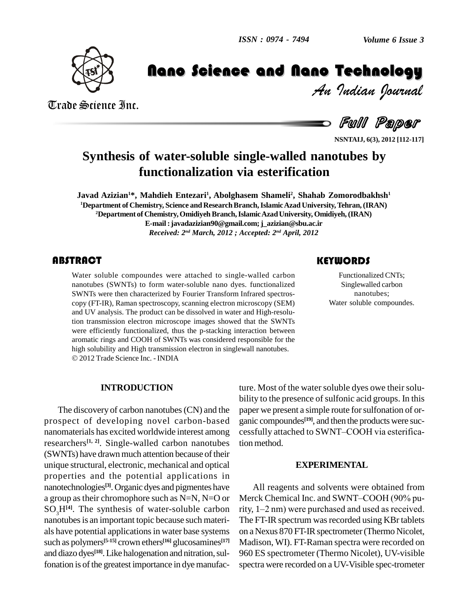

*Volume 6 Issue 3*<br>**Technology**<br>*Indian Pournal* 

Trade Science Inc. Trade Science Inc.

Manuel Communication Communications of the Communication Communications of the Nano Technology of Technology (<br>Full Paper

**Full Paper** 

**NSNTAIJ, 6(3), 2012 [112-117]**

# **Synthesis of water-soluble single-walled nanotubes by functionalization via esterification**

**Javad Azizian <sup>1</sup>\*, Mahdieh Entezari<sup>1</sup> , Abolghasem Shameli<sup>2</sup> , Shahab Zomorodbakhsh 1 <sup>1</sup>Department of Chemistry, Science and ResearchBranch,IslamicAzad University,Tehran,(IRAN) <sup>2</sup>Department of Chemistry,OmidiyehBranch,IslamicAzadUniversity, Omidiyeh,(IRAN) E-mail:[javadazizian90@gmail.com;j\\_azizian](mailto:javadazizian90@gmail.com;)[@sbu.ac.ir](mailto:j_azizian@sbu.ac.ir)** *Received: 2 nd March, 2012 ; Accepted: 2 nd April, 2012*

### **ABSTRACT**

Water soluble compoundes were attached to single-walled carbon<br>nanotubes (SWNTs) to form water-soluble nano dyes. functionalized<br>SWNTs were then characterized by Fourier Transform Infrared spectros-<br>nanotubes; Water soluble compoundes were attached to single-walled carbon nanotubes (SWNTs) to form water-soluble nano dyes. functionalized SWNTs were then characterized by Fourier Transform Infrared spectros copy (FT-IR), Raman spectroscopy, scanning electron microscopy (SEM) and UV analysis. The product can be dissolved in water and High-resolution transmission electron microscope images showed that the SWNTs were efficiently functionalized, thus the p-stacking interaction between aromatic rings and COOH of SWNTs was considered responsible for the high solubility and High transmission electron in singlewall nanotubes. 2012 Trade Science Inc. - INDIA

## **KEYWORDS**

Functionalized CNTs; Singlewalled carbon nanotubes; Water soluble compoundes.

### **INTRODUCTION**

The discovery of carbon nanotubes(CN) and the prospect of developing novel carbon-based nanomaterials has excited worldwide interest among cessfully attached to SWNT-COOH via esterificaresearchers **[1, 2]**. Single-walled carbon nanotubes (SWNTs) have drawn much attention because of their unique structural, electronic, mechanical and optical properties and the potential applications in nanotechnologies **[3]**. Organic dyes and pigmentes have a group astheir chromophore such as N=N, N=O or SO3H**[4]**. The synthesis of water-soluble carbon nanotubes is an important topic because such materials have potential applications in water base systems such as polymers **[5-15]** crown ethers **[16]** glucosamines **[17]** and diazo dyes<sup>[18]</sup>. Like halogenation and nitration, sulfonation is of the greatest importance in dye manufac-

ture. Most of the water soluble dyes owe their solubility to the presence of sulfonic acid groups. In this paper we present a simple route for sulfonation of organic compoundes **[19]**, and then the products were suc paper we present a simple route for sulfonation of organic compoundes<sup>[19]</sup>, and then the products were successfully attached to SWNT–COOH via esterification method.

### **EXPERIMENTAL**

All reagents and solvents were obtained from Merck Chemical Inc. and SWNT-COOH (90% purity,  $1-2$  nm) were purchased and used as received. The FT-IR spectrum was recorded using KBr tablets on a Nexus 870 FT-IR spectrometer (Thermo Nicolet, Madison, WI). FT-Raman spectra were recorded on 960 ES spectrometer (Thermo Nicolet), UV-visible spectra were recorded on a UV-Visible spec-trometer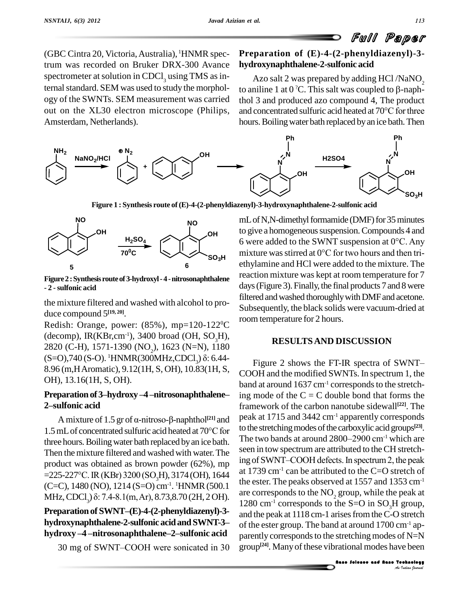(GBC Cintra 20,Victoria,Australia), <sup>1</sup>HNMR spectrum was recorded on Bruker DRX-300 Avance spectrometer at solution in CDCl<sub>2</sub> using TMS as internal standard. SEM was used to study the morphology of the SWNTs. SEM measurement was carried out on the XL30 electron microscope (Philips, and concentrated sulfuric acid heated at 70°C for three Amsterdam, Netherlands).

# **Preparation of (E)-4-(2-phenyldiazenyl)-3 hydroxynaphthalene-2-sulfonic acid**

Azo salt 2 was prepared by adding HCl /NaNO $_2^{\phantom{\dag}}$ to aniline 1 at 0 <sup>7</sup>C. This salt was coupled to  $\beta$ -naph-<br>thol 3 and produced azo compound 4, The product<br>and concentrated sulfuric acid heated at 70°C for three **nalene-2-sulfonic acid**<br>vas prepared by adding HCl /NaNO<sub>2</sub><br>'C. This salt was coupled to β-naphthol 3 and produced azo compound 4, The product hours. Boiling water bath replaced by an ice bath. Then



**Figure 1 : Synthesis route of(E)-4-(2-phenyldiazenyl)-3-hydroxynaphthalene-2-sulfonic acid**



**Figure2 :Synthesisrouteof3-hydroxyl-4 -nitrosonaphthalene - 2 -sulfonic acid**

the mixture filtered and washed with alcohol to pro duce compound 5 **[19, 20]**.

Redish: Orange, power: (85%), mp=120-122 (decomp), IR(KBr,cm<sup>-1</sup>), 3400 broad (OH, SO<sub>3</sub>H),<br>2820 (C-H), 1571-1390 (NO<sub>2</sub>), 1623 (N=N), 1180<br>(S=O),740 (S-O). <sup>1</sup>HNMR(300MHz,CDCl<sub>3</sub>) δ: 6.44-<br>8.96 (m,H Aromatic), 9.12(1H, S, OH), 10.83(1H, S, OH), 13.16(1H, S, OH). 8.96 (m,H Aromatic), 9.12(1H, S, OH), 10.83(1H, S, COOH<br>OH), 13.16(1H, S, OH). band at<br>**Preparation of 3-hydroxy** -4 -nitrosonaphthalene- ing mo

# OH), 13.16(1H, S, OH).<br>**Preparation of 3–hydroxy**<br>2–sulfonic acid **paration of 3–hydroxy –4 –nitrosonaphthalene—** ing mc<br> **alfonic acid** framev<br>
A mixture of 1.5 gr of α-nitroso-β-naphthol<sup>[21]</sup> and peak at

2-sulfonic acid<br>A mixture of 1.5 gr of  $\alpha$ -nitroso- $\beta$ -naphthol<sup>[21]</sup> and<br>1.5 mL of concentrated sulfuric acid heated at 70°C for three hours. Boiling water bath replaced by an ice bath. Then the mixture filtered and washed with water. The seen in tow spectrum are attributed to the CH stretch-<br>needust was obtained as brown newdor  $(62\%)$  mp. ing of SWNT-COOH defects. In spectrum 2, the peak product was obtained as brown powder  $(62\%)$ , mp  $\frac{mg}{120}$ Then the mixture filtered and washed with water. The<br>product was obtained as brown powder (62%), mp ing of S<br>=225-227°C. IR (KBr) 3200 (SO<sub>3</sub>H), 3174 (OH), 1644 at 1739  $(C=C)$ , 1480 (NO), 1214 (S=O) cm<sup>-1</sup>. <sup>1</sup>HNMR (500.1 une esu **MHz, CDCl**<sub>3</sub>) δ: 7.4-8.1(m, Ar), 8.73,8.70 (2H, 2 OH).<br>**Preparation of SWNT**–(**E**)-4-(2-phenyldiazenyl)-3-

MHz, CDCl<sub>3</sub>) o: 7.4-8.1(m, Ar), 8.73,8.70 (2H, 2 OH).<br>**Preparation of SWNT–(E)-4-(2-phenyldiazenyl)-3-** and the<br>**hydroxynaphthalene-2-sulfonic acid and SWNT-3-** of the e **hydroxy <sup>ñ</sup><sup>4</sup> <sup>ñ</sup>nitrosonaphthaleneñ2ñsulfonic acid** hydroxy-4-nitrosonaphthalene-2-sulfonic acid<br>30 mg of SWNT-COOH were sonicated in 30

**OH** to give a homogeneoussuspension.Compounds 4 and **SO<sub>3</sub>H** mixture was stirred at 0<sup>o</sup>C for two hours and then tri- ${}^{0}C$  room temperature for 2 hours. mL of N,N-dimethyl formamide (DMF) for 35 minutes mL of N,N-dimethyl formamide (DMF) for 35 minutes<br>to give a homogeneous suspension. Compounds 4 and<br>6 were added to the SWNT suspension at 0°C. Any to give a homogeneous suspension. Compounds 4 and<br>6 were added to the SWNT suspension at  $0^{\circ}$ C. Any<br>mixture was stirred at  $0^{\circ}$ C for two hours and then triethylamine and HCl were added to the mixture. The reaction mixture was kept at room temperature for 7 days (Figure 3). Finally, the final products 7 and 8 were filtered and washed thoroughly with DMF and acetone. Subsequently, the black solids were vacuum-dried at

## **RESULTSAND DISCUSSION**

d at around 1700 cm<sup>-1</sup> ap-<br>stretching modes of N=N<br>rational modes have been<br>**Anno Solence and flags Jechnology** =225-227°C. IR (KBr) 3200 (SO<sub>3</sub>H), 3174 (OH), 1644 at 1759 cm<sup>-1</sup> can be attributed to the C=O stretch of<br>(C=C), 1480 (NO), 1214 (S=O) cm<sup>-1</sup>. <sup>1</sup>HNMR (500.1 the ester. The peaks observed at 1557 and 1353 cm<sup>-1</sup><br>MHz, C Figure 2 shows the FT-IR spectra of SWNT-COOH and the modified SWNTs. In spectrum 1, the band at around  $1637 \text{ cm}^{-1}$  corresponds to the stretching mode of the  $C = C$  double bond that forms the framework of the carbon nanotube sidewall **[22]**. The peak at 1715 and 3442 cm<sup>-1</sup> apparently corresponds<br>to the stretching modes of the carboxylic acid groups<sup>[23]</sup>.<br>The two bands at around 2800–2900 cm<sup>-1</sup> which are to the stretching modes of the carboxylic acid groups<sup>[23]</sup>. seen in tow spectrum are attributed to theCH stretch-The two bands at around  $2800-2900$  cm<sup>-1</sup> which are at 1739 cm<sup>-1</sup> can be attributed to the C=O stretch of the ester. The peaks observed at 1557 and 1353 cm-1 are corresponds to the NO<sub>2</sub> group, while the peak at and the peak at 1118 cm-1 arises from the C-O stretch of the ester group. The band at around 1700 cm-1 ap parently corresponds to the stretching modes of  $N=N$ group **[24]**. Manyof these vibrational modes have been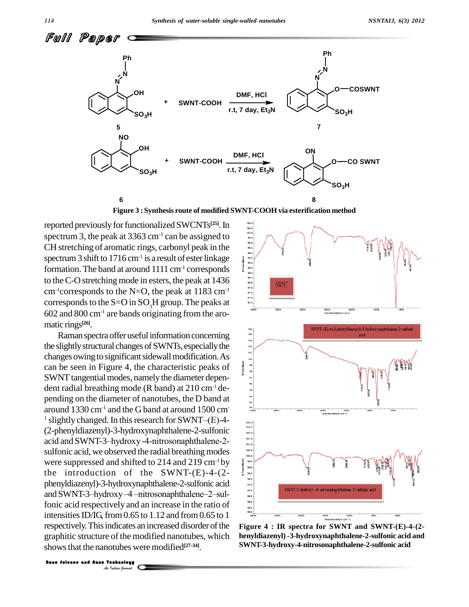

**Figure 3 : Synthesis route of modified SWNT-COOH via esterification method**

reported previously for functionalized SWCNTs<sup>[25]</sup>. In  $\parallel \frac{100.4}{100.2}\parallel$ spectrum 3, the peak at  $3363 \text{ cm}^{-1}$  can be assigned to CH stretching of aromatic rings, carbonyl peak in the spectrum 3 shift to 1716 cm<sup>-1</sup> is a result of ester linkage  $\| \cdot \|$ formation. The band at around  $1111 \text{ cm}^{-1}$  corresponds to the C-O stretching mode in esters, the peak at  $1436$ cm<sup>-1</sup>corresponds to the N=O, the peak at 1183 cm<sup>-1</sup> corresponds to the S=O in SO<sub>3</sub>H group. The peaks at  $\frac{1}{n^2}$ 602 and 800 cm-1 are bands originating from the aro matic rings **[26]**.

respectively. This indicates an inexperience and nanotubes were<br>Shows that the nanotubes were<br>**Index Solvence and Nano Technology** Raman spectra offer useful information concerning the slightly structural changes of SWNTs, especially the changes owing to significant sidewall modification. As can be seen in Figure 4, the characteristic peaks of SWNT tangential modes, namely the diameter dependent radial breathing mode (R band) at  $210 \text{ cm}^{-1}$  depending on the diameter of nanotubes, the D band at  $\frac{1}{2}$ <br>around 1330 cm<sup>-1</sup> and the G band at around 1500 cm<sup>-2</sup> around  $1330 \text{ cm}^{-1}$  and the G band at around  $1500 \text{ cm}^{-1}$ <sup>1</sup> slightly changed. In this research for SWNT $-(E)$ -4-(2-phenyldiazenyl)-3-hydroxynaphthalene-2-sulfonic <sup>1</sup> slightly changed. In this research for SWNT-(E)-4-<br>
(2-phenyldiazenyl)-3-hydroxy naphthalene-2-sulfonic acid and SWNT-3-hydroxy -4-nitrosonaphthalene-2sulfonic acid, we observed the radial breathing modes  $\frac{100.6}{100.6}$ were suppressed and shifted to 214 and 219 cm<sup>-1</sup> by the introduction of the SWNT- $(E)$ -4- $(2-\frac{8}{5})$ phenyldiazenyl)-3-hydroxynaphthalene-2-sulfonic acid and SWNT-3-hydroxy-4 -nitrosonaphthalene-2-sulfonic acid respectively and an increase in the ratio of  $\frac{380}{965}$ intensities ID/IG, from  $0.65$  to  $1.12$  and from  $0.65$  to  $1$ respectively. This indicates an increased disorder of the graphitic structure of the modified nanotubes, which henyldia shows that the nanotubes were modified<sup>[27-34]</sup>.



**Figure 4 : IR spectra for SWNT and SWNT-(E)-4-(2 henyldiazenyl) -3-hydroxynaphthalene-2-sulfonic acid and SWNT-3-hydroxy-4-nitrosonaphthalene-2-sulfonic acid**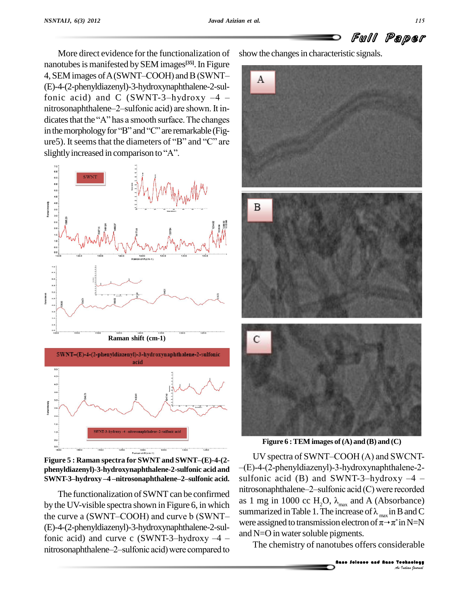

More direct evidence for the functionalization of nanotubes is manifested by SEM images<sup>[35]</sup>. In Figure More direct evidence for the functionalization of show the nanotubes is manifested by SEM images<sup>[35]</sup>. In Figure 4, SEM images of A (SWNT–COOH) and B (SWNT– $\Delta$ (E)-4-(2-phenyldiazenyl)-3-hydroxynaphthalene-2-sul-4, SEM images of A (SWNT–COOH) and B (SWNT–<br>(E)-4-(2-phenyldiazenyl)-3-hydroxy naphthalene-2-sul-<br>fonic acid) and C (SWNT-3-hydroxy -4 – (E)-4-(2-phenyldiazenyl)-3-hydroxynaphthalene-2-sulfonic acid) and C (SWNT-3-hydroxy  $-4$  - nitrosonaphthalene-2-sulfonic acid) are shown. It infonic acid) and C (SWNT-3-hydroxy  $-4$  -<br>nitrosonaphthalene-2-sulfonic acid) are shown. It in-<br>dicates that the "A" has a smooth surface. The changes nitrosonaphthalene-2-sulfonic acid) are shown. It indicates that the "A" has a smooth surface. The changes ure5). It seems that the diameters of "B" and "C" are in the morphology for "B" and "C" are remarkable (Figure 5). It seems that the diameters of "B" and "C" are slightly increased in comparison to "A".





**Figure** 5 **: Raman spectra** for **SWNT** and **SWNT**-(E)-4-(2-**SWNT-3ñhydroxy <sup>ñ</sup><sup>4</sup> <sup>ñ</sup>nitrosonaphthaleneñ2ñsulfonic acid.**

by the UV-visible spectra shown in Figure 6, in which <sup>as 1 m</sup> The functionalization of SWNT can be confirmed<br>by the UV-visible spectra shown in Figure 6, in which<br>the curve a (SWNT–COOH) and curve b (SWNT– (E)-4-(2-phenyldiazenyl)-3-hydroxynaphthalene-2-sulthe curve a (SWNT–COOH) and curve b (SWNT–<br>(E)-4-(2-phenyldiazenyl)-3-hydroxynaphthalene-2-sul-<br>fonic acid) and curve c (SWNT-3-hydroxy -4 – (E)-4-(2-phenyldiazenyl)-3-hydroxynaphthalene-2-sulfonic acid) and curve c (SWNT-3-hydroxy  $-4$  - and N=<br>nitrosonaphthalene-2-sulfonic acid) were compared to

show the changes in characteristic signals.



**Figure 6 :TEM images of(A) and (B) and (C)**

Represents.<br>
Hence Solence and Nano Technology<br> *An <sup>Technology*<br> *An <sup>Technology*</sup></sup> The functionalization of SWNT can be confirmed<br> $nitrosonaphthalene-2-sulfonic acid (C) were recorded$ **phenyldiazenyl)-3-hydroxynaphthalene-2-sulfonic acid and**  $-(E)-4-(2-pneny1diazenyl)-3-hydroxynaphthalene-2-sulfonic acid.$ <br>**SWNT-3-hydroxy-4-nitrosonaphthalene-2-sulfonic acid.** sulfonic acid (B) and SWNT-3-hydroxy-4-UV spectra of SWNT–COOH  $(A)$  and SWCNT-UV spectra of SWNT–COOH (A) and SWCNT–<br>
–(E)-4-(2-phenyldiazenyl)-3-hydroxynaphthalene-2-<br>
sulfonic acid (B) and SWNT-3-hydroxy -4 – -(E)-4-(2-phenyldiazenyl)-3-hydroxynaphthalene-2-<br>sulfonic acid (B) and SWNT-3-hydroxy -4 -<br>nitrosonaphthalene-2-sulfonic acid (C) were recorded as 1 mg in 1000 cc H<sub>2</sub>O,  $\lambda_{\text{max}}$  and A (Absorbance) nitrosonaphthalene–2–sulfonic acid (C) were recorded<br>as 1 mg in 1000 cc H<sub>2</sub>O,  $\lambda_{\text{max}}$  and A (Absorbance)<br>summarized in Table 1. The increase of  $\lambda_{\text{max}}$  in B and C as 1 mg in 1000 cc H<sub>2</sub>O,  $\lambda_{\text{max}}$  and A (Absorbance)<br>summarized in Table 1. The increase of  $\lambda_{\text{max}}$  in B and C<br>were assigned to transmission electron of  $\pi \rightarrow \pi^*$  in N=N  $*$  in N=N and  $N=O$  in water soluble pigments.

The chemistry of nanotubes offers considerable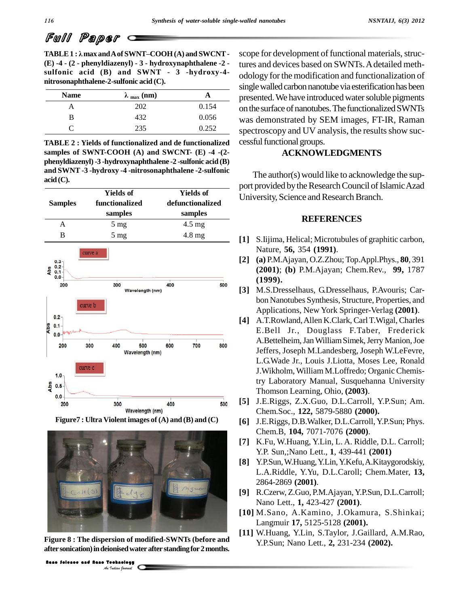# Full Paper

**nitrosonaphthalene-2-sulfonic acid (C).**<br> **Name**  $\lambda_{\text{max}}(\text{nm})$  **A**  $\sum_{\text{mre}}$ **TABLE1 : <sup>Î</sup>max andAof SWNTñCOOH(A) and SWCNT- (E) -4 - (2 - phenyldiazenyl) - 3 - hydroxynaphthalene -2 sulfonic acid (B) and SWNT - 3 -hydroxy-4-**

| <b>Name</b> | $\lambda_{\text{max}}$ (nm) | н     |
|-------------|-----------------------------|-------|
| А           | 202                         | 0.154 |
| В           | 432                         | 0.056 |
|             | 235                         | 0.252 |

**TABLE 2 : Yields of functionalized and de functionalized samples of SWNT-COOH (A) and SWCNT- (E) -4 -(2 phenyldiazenyl)-3 -hydroxynaphthalene -2 -sulfonic acid (B) and SWNT -3 -hydroxy -4 -nitrosonaphthalene -2-sulfonic acid(C).**







Figure 8 : The dispersion of modif<br>After sonication) in deionised water a<br>**Indian** *An Indian pound* **Figure 8 : The dispersion of modified-SWNTs (before and aftersonication)indeionisedwaterafter standingfor2months.**

scope for development of functional materials, structures and devices based on SWNTs. A detailed methodology forthemodification and functionalization of single walled carbon nanotube via esterification has been presented. We have introduced water soluble pigments on the surface of nanotubes. The functionalized SWNTs was demonstrated by SEM images, FT-IR, Raman spectroscopy and UV analysis, the results show successful functional groups.

### **ACKNOWLEDGMENTS**

The author(s) would like to acknowledge the sup port provided by the Research Council of Islamic Azad University, Science and Research Branch.

#### **REFERENCES**

- **[1]** S.Iijima, Helical; Microtubules of graphitic carbon, Nature, **56,** 354 **(1991)**.
- **[2] (a)** P.M.Ajayan, O.Z.Zhou; Top.Appl.Phys., **80**, 391 **(2001)**; **(b)** P.M.Ajayan; Chem.Rev., **99,** 1787 **(1999).**
- **[3]** M.S.Dresselhaus, G.Dresselhaus, P.Avouris; Car bon Nanotubes Synthesis, Structure, Properties, and Applications, New York Springer-Verlag **(2001)**.
- **[4]** A.T.Rowland,Allen K.Clark, CarlT.Wigal,Charles E.Bell Jr., Douglass F.Taber, Frederick A.Bettelheim,JanWilliamSimek,Jerry Manion,Joe Jeffers, Joseph M.Landesberg, Joseph W.LeFevre, L.G.Wade Jr., Louis J.Liotta, Moses Lee, Ronald J.Wikholm, William M.Loffredo; Organic Chemistry Laboratory Manual, Susquehanna University Thomson Learning, Ohio, **(2003)**.
- **[5]** J.E.Riggs, Z.X.Guo, D.L.Carroll, Y.P.Sun; Am. Chem.Soc., **122,** 5879-5880 **(2000).**
- **[6]** J.E.Riggs, D.B.Walker, D.L.Carroll,Y.P.Sun; Phys. Chem.B, **104,** 7071-7076 **(2000)**.
- **[7]** K.Fu, W.Huang, Y.Lin, L. A. Riddle, D.L. Carroll; Y.P. Sun,;Nano Lett., **1**, 439-441 **(2001)**
- **[8]** Y.P.Sun,W.Huang,Y.Lin,Y.Kefu,A.Kitaygorodskiy, L.A.Riddle, Y.Yu, D.L.Caroll; Chem.Mater, **13,** 2864-2869 **(2001)**.
- **[9]** R.Czerw, Z.Guo, P.M.Ajayan,Y.P.Sun, D.L.Carroll; Nano Lett., **1,** 423-427 **(2001)**.
- **[10]** M.Sano, A.Kamino, J.Okamura, S.Shinkai; Langmuir **17,** 5125-5128 **(2001).**
- **[11]** W.Huang, Y.Lin, S.Taylor, J.Gaillard, A.M.Rao, Y.P.Sun; Nano Lett., **2,** 231-234 **(2002).**